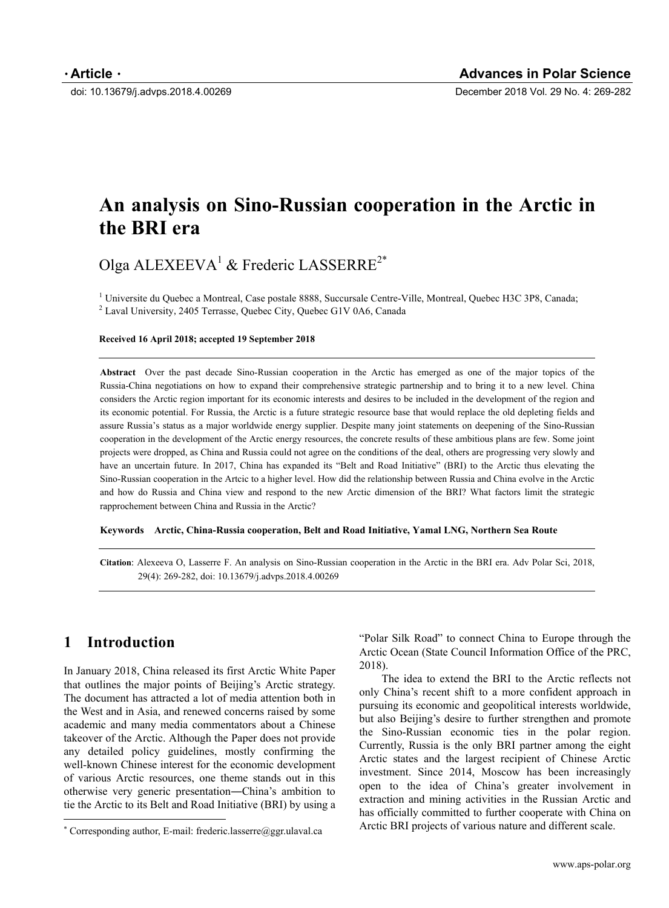doi: 10.13679/j.advps.2018.4.00269 December 2018 Vol. 29 No. 4: 269-282

# **An analysis on Sino-Russian cooperation in the Arctic in the BRI era**

Olga ALEXEEVA<sup>1</sup> & Frederic LASSERRE<sup>2\*</sup>

<sup>1</sup> Universite du Quebec a Montreal, Case postale 8888, Succursale Centre-Ville, Montreal, Quebec H3C 3P8, Canada;  $^{2}$  Lavel University 2405 Terrasse Quebec City Quebec G1V 0A6 Canada <sup>2</sup> Laval University, 2405 Terrasse, Quebec City, Quebec G1V 0A6, Canada

#### **Received 16 April 2018; accepted 19 September 2018**

**Abstract** Over the past decade Sino-Russian cooperation in the Arctic has emerged as one of the major topics of the Russia-China negotiations on how to expand their comprehensive strategic partnership and to bring it to a new level. China considers the Arctic region important for its economic interests and desires to be included in the development of the region and its economic potential. For Russia, the Arctic is a future strategic resource base that would replace the old depleting fields and assure Russia's status as a major worldwide energy supplier. Despite many joint statements on deepening of the Sino-Russian cooperation in the development of the Arctic energy resources, the concrete results of these ambitious plans are few. Some joint projects were dropped, as China and Russia could not agree on the conditions of the deal, others are progressing very slowly and have an uncertain future. In 2017, China has expanded its "Belt and Road Initiative" (BRI) to the Arctic thus elevating the Sino-Russian cooperation in the Artcic to a higher level. How did the relationship between Russia and China evolve in the Arctic and how do Russia and China view and respond to the new Arctic dimension of the BRI? What factors limit the strategic rapprochement between China and Russia in the Arctic?

**Keywords Arctic, China-Russia cooperation, Belt and Road Initiative, Yamal LNG, Northern Sea Route**

**Citation**: Alexeeva O, Lasserre F. An analysis on Sino-Russian cooperation in the Arctic in the BRI era. Adv Polar Sci, 2018, 29(4): 269-282, doi: 10.13679/j.advps.2018.4.00269

# **1 Introduction**

 $\overline{a}$ 

In January 2018, China released its first Arctic White Paper that outlines the major points of Beijing's Arctic strategy. The document has attracted a lot of media attention both in the West and in Asia, and renewed concerns raised by some academic and many media commentators about a Chinese takeover of the Arctic. Although the Paper does not provide any detailed policy guidelines, mostly confirming the well-known Chinese interest for the economic development of various Arctic resources, one theme stands out in this otherwise very generic presentation―China's ambition to tie the Arctic to its Belt and Road Initiative (BRI) by using a "Polar Silk Road" to connect China to Europe through the Arctic Ocean (State Council Information Office of the PRC, 2018).

The idea to extend the BRI to the Arctic reflects not only China's recent shift to a more confident approach in pursuing its economic and geopolitical interests worldwide, but also Beijing's desire to further strengthen and promote the Sino-Russian economic ties in the polar region. Currently, Russia is the only BRI partner among the eight Arctic states and the largest recipient of Chinese Arctic investment. Since 2014, Moscow has been increasingly open to the idea of China's greater involvement in extraction and mining activities in the Russian Arctic and has officially committed to further cooperate with China on Arctic BRI projects of various nature and different scale.

 Corresponding author, E-mail: frederic.lasserre@ggr.ulaval.ca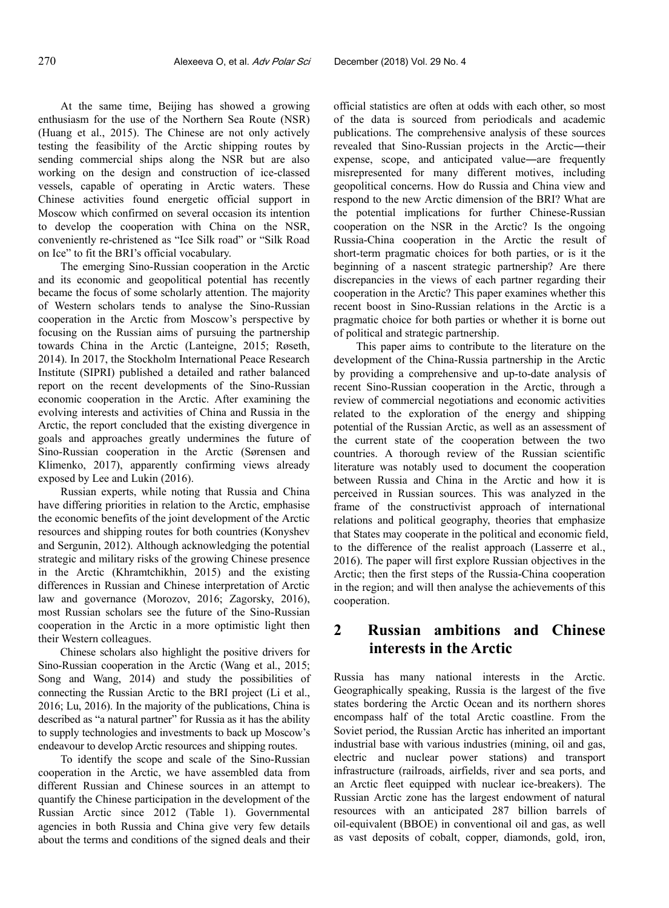At the same time, Beijing has showed a growing enthusiasm for the use of the Northern Sea Route (NSR) (Huang et al., 2015). The Chinese are not only actively testing the feasibility of the Arctic shipping routes by sending commercial ships along the NSR but are also working on the design and construction of ice-classed vessels, capable of operating in Arctic waters. These Chinese activities found energetic official support in Moscow which confirmed on several occasion its intention to develop the cooperation with China on the NSR, conveniently re-christened as "Ice Silk road" or "Silk Road on Ice" to fit the BRI's official vocabulary.

The emerging Sino-Russian cooperation in the Arctic and its economic and geopolitical potential has recently became the focus of some scholarly attention. The majority of Western scholars tends to analyse the Sino-Russian cooperation in the Arctic from Moscow's perspective by focusing on the Russian aims of pursuing the partnership towards China in the Arctic (Lanteigne, 2015; Røseth, 2014). In 2017, the Stockholm International Peace Research Institute (SIPRI) published a detailed and rather balanced report on the recent developments of the Sino-Russian economic cooperation in the Arctic. After examining the evolving interests and activities of China and Russia in the Arctic, the report concluded that the existing divergence in goals and approaches greatly undermines the future of Sino-Russian cooperation in the Arctic (Sørensen and Klimenko, 2017), apparently confirming views already exposed by Lee and Lukin (2016).

Russian experts, while noting that Russia and China have differing priorities in relation to the Arctic, emphasise the economic benefits of the joint development of the Arctic resources and shipping routes for both countries (Konyshev and Sergunin, 2012). Although acknowledging the potential strategic and military risks of the growing Chinese presence in the Arctic (Khramtchikhin, 2015) and the existing differences in Russian and Chinese interpretation of Arctic law and governance (Morozov, 2016; Zagorsky, 2016), most Russian scholars see the future of the Sino-Russian cooperation in the Arctic in a more optimistic light then their Western colleagues.

Chinese scholars also highlight the positive drivers for Sino-Russian cooperation in the Arctic (Wang et al., 2015; Song and Wang, 2014) and study the possibilities of connecting the Russian Arctic to the BRI project (Li et al., 2016; Lu, 2016). In the majority of the publications, China is described as "a natural partner" for Russia as it has the ability to supply technologies and investments to back up Moscow's endeavour to develop Arctic resources and shipping routes.

To identify the scope and scale of the Sino-Russian cooperation in the Arctic, we have assembled data from different Russian and Chinese sources in an attempt to quantify the Chinese participation in the development of the Russian Arctic since 2012 (Table 1). Governmental agencies in both Russia and China give very few details about the terms and conditions of the signed deals and their

official statistics are often at odds with each other, so most of the data is sourced from periodicals and academic publications. The comprehensive analysis of these sources revealed that Sino-Russian projects in the Arctic―their expense, scope, and anticipated value―are frequently misrepresented for many different motives, including geopolitical concerns. How do Russia and China view and respond to the new Arctic dimension of the BRI? What are the potential implications for further Chinese-Russian cooperation on the NSR in the Arctic? Is the ongoing Russia-China cooperation in the Arctic the result of short-term pragmatic choices for both parties, or is it the beginning of a nascent strategic partnership? Are there discrepancies in the views of each partner regarding their cooperation in the Arctic? This paper examines whether this recent boost in Sino-Russian relations in the Arctic is a pragmatic choice for both parties or whether it is borne out of political and strategic partnership.

This paper aims to contribute to the literature on the development of the China-Russia partnership in the Arctic by providing a comprehensive and up-to-date analysis of recent Sino-Russian cooperation in the Arctic, through a review of commercial negotiations and economic activities related to the exploration of the energy and shipping potential of the Russian Arctic, as well as an assessment of the current state of the cooperation between the two countries. A thorough review of the Russian scientific literature was notably used to document the cooperation between Russia and China in the Arctic and how it is perceived in Russian sources. This was analyzed in the frame of the constructivist approach of international relations and political geography, theories that emphasize that States may cooperate in the political and economic field, to the difference of the realist approach (Lasserre et al., 2016). The paper will first explore Russian objectives in the Arctic; then the first steps of the Russia-China cooperation in the region; and will then analyse the achievements of this cooperation.

# **2 Russian ambitions and Chinese interests in the Arctic**

Russia has many national interests in the Arctic. Geographically speaking, Russia is the largest of the five states bordering the Arctic Ocean and its northern shores encompass half of the total Arctic coastline. From the Soviet period, the Russian Arctic has inherited an important industrial base with various industries (mining, oil and gas, electric and nuclear power stations) and transport infrastructure (railroads, airfields, river and sea ports, and an Arctic fleet equipped with nuclear ice-breakers). The Russian Arctic zone has the largest endowment of natural resources with an anticipated 287 billion barrels of oil-equivalent (BBOE) in conventional oil and gas, as well as vast deposits of cobalt, copper, diamonds, gold, iron,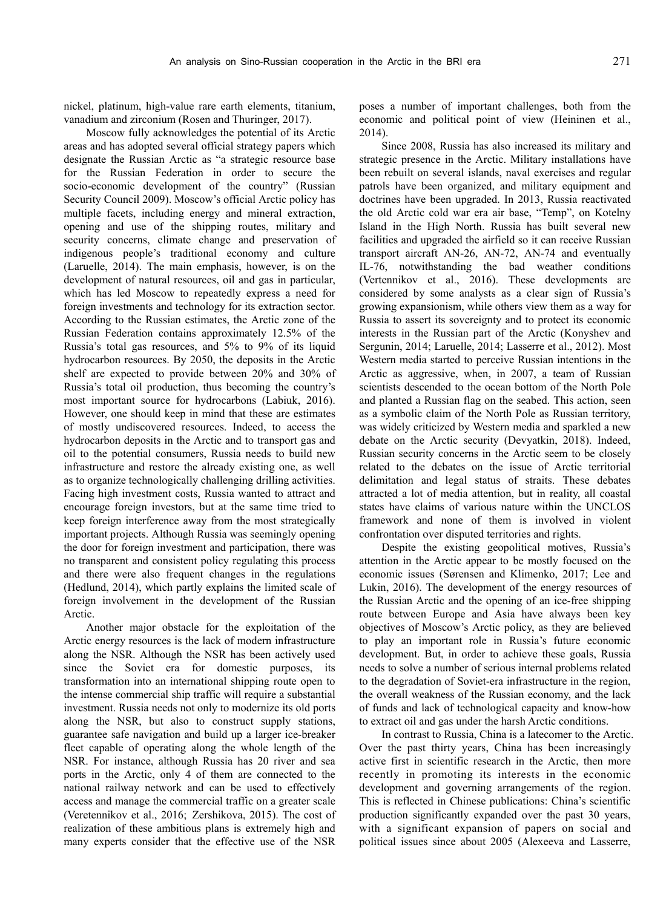nickel, platinum, high-value rare earth elements, titanium, vanadium and zirconium (Rosen and Thuringer, 2017).

Moscow fully acknowledges the potential of its Arctic areas and has adopted several official strategy papers which designate the Russian Arctic as "a strategic resource base for the Russian Federation in order to secure the socio-economic development of the country" (Russian Security Council 2009). Moscow's official Arctic policy has multiple facets, including energy and mineral extraction, opening and use of the shipping routes, military and security concerns, climate change and preservation of indigenous people's traditional economy and culture (Laruelle, 2014). The main emphasis, however, is on the development of natural resources, oil and gas in particular, which has led Moscow to repeatedly express a need for foreign investments and technology for its extraction sector. According to the Russian estimates, the Arctic zone of the Russian Federation contains approximately 12.5% of the Russia's total gas resources, and 5% to 9% of its liquid hydrocarbon resources. By 2050, the deposits in the Arctic shelf are expected to provide between 20% and 30% of Russia's total oil production, thus becoming the country's most important source for hydrocarbons (Labiuk, 2016). However, one should keep in mind that these are estimates of mostly undiscovered resources. Indeed, to access the hydrocarbon deposits in the Arctic and to transport gas and oil to the potential consumers, Russia needs to build new infrastructure and restore the already existing one, as well as to organize technologically challenging drilling activities. Facing high investment costs, Russia wanted to attract and encourage foreign investors, but at the same time tried to keep foreign interference away from the most strategically important projects. Although Russia was seemingly opening the door for foreign investment and participation, there was no transparent and consistent policy regulating this process and there were also frequent changes in the regulations (Hedlund, 2014), which partly explains the limited scale of foreign involvement in the development of the Russian Arctic.

Another major obstacle for the exploitation of the Arctic energy resources is the lack of modern infrastructure along the NSR. Although the NSR has been actively used since the Soviet era for domestic purposes, its transformation into an international shipping route open to the intense commercial ship traffic will require a substantial investment. Russia needs not only to modernize its old ports along the NSR, but also to construct supply stations, guarantee safe navigation and build up a larger ice-breaker fleet capable of operating along the whole length of the NSR. For instance, although Russia has 20 river and sea ports in the Arctic, only 4 of them are connected to the national railway network and can be used to effectively access and manage the commercial traffic on a greater scale (Veretennikov et al., 2016; Zershikova, 2015). The cost of realization of these ambitious plans is extremely high and many experts consider that the effective use of the NSR poses a number of important challenges, both from the economic and political point of view (Heininen et al., 2014).

Since 2008, Russia has also increased its military and strategic presence in the Arctic. Military installations have been rebuilt on several islands, naval exercises and regular patrols have been organized, and military equipment and doctrines have been upgraded. In 2013, Russia reactivated the old Arctic cold war era air base, "Temp", on Kotelny Island in the High North. Russia has built several new facilities and upgraded the airfield so it can receive Russian transport aircraft AN-26, AN-72, AN-74 and eventually IL-76, notwithstanding the bad weather conditions (Vertennikov et al., 2016). These developments are considered by some analysts as a clear sign of Russia's growing expansionism, while others view them as a way for Russia to assert its sovereignty and to protect its economic interests in the Russian part of the Arctic (Konyshev and Sergunin, 2014; Laruelle, 2014; Lasserre et al., 2012). Most Western media started to perceive Russian intentions in the Arctic as aggressive, when, in 2007, a team of Russian scientists descended to the ocean bottom of the North Pole and planted a Russian flag on the seabed. This action, seen as a symbolic claim of the North Pole as Russian territory, was widely criticized by Western media and sparkled a new debate on the Arctic security (Devyatkin, 2018). Indeed, Russian security concerns in the Arctic seem to be closely related to the debates on the issue of Arctic territorial delimitation and legal status of straits. These debates attracted a lot of media attention, but in reality, all coastal states have claims of various nature within the UNCLOS framework and none of them is involved in violent confrontation over disputed territories and rights.

Despite the existing geopolitical motives, Russia's attention in the Arctic appear to be mostly focused on the economic issues (Sørensen and Klimenko, 2017; Lee and Lukin, 2016). The development of the energy resources of the Russian Arctic and the opening of an ice-free shipping route between Europe and Asia have always been key objectives of Moscow's Arctic policy, as they are believed to play an important role in Russia's future economic development. But, in order to achieve these goals, Russia needs to solve a number of serious internal problems related to the degradation of Soviet-era infrastructure in the region, the overall weakness of the Russian economy, and the lack of funds and lack of technological capacity and know-how to extract oil and gas under the harsh Arctic conditions.

In contrast to Russia, China is a latecomer to the Arctic. Over the past thirty years, China has been increasingly active first in scientific research in the Arctic, then more recently in promoting its interests in the economic development and governing arrangements of the region. This is reflected in Chinese publications: China's scientific production significantly expanded over the past 30 years, with a significant expansion of papers on social and political issues since about 2005 (Alexeeva and Lasserre,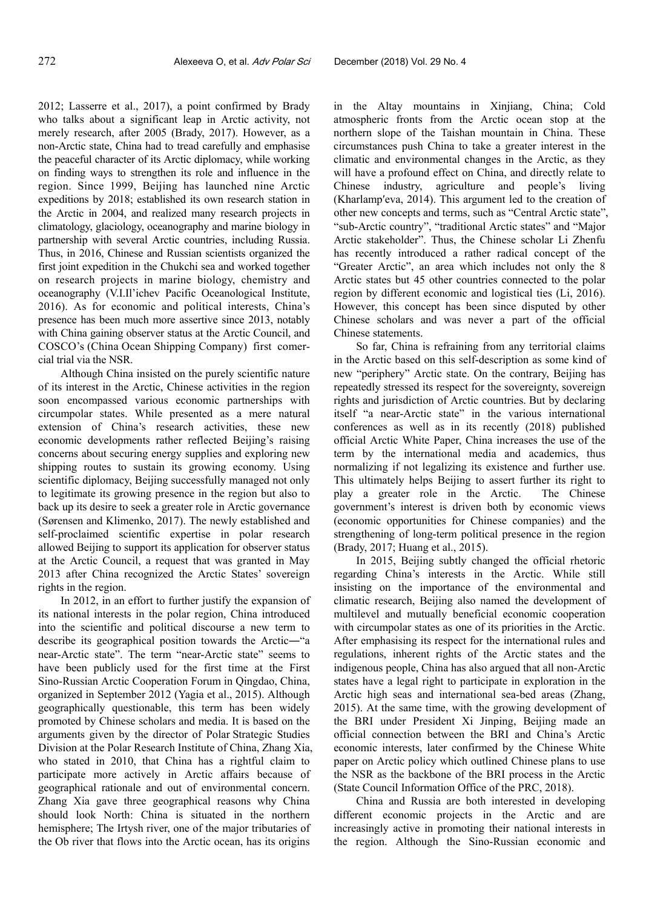2012; Lasserre et al., 2017), a point confirmed by Brady who talks about a significant leap in Arctic activity, not merely research, after 2005 (Brady, 2017). However, as a non-Arctic state, China had to tread carefully and emphasise the peaceful character of its Arctic diplomacy, while working on finding ways to strengthen its role and influence in the region. Since 1999, Beijing has launched nine Arctic expeditions by 2018; established its own research station in the Arctic in 2004, and realized many research projects in climatology, glaciology, oceanography and marine biology in partnership with several Arctic countries, including Russia. Thus, in 2016, Chinese and Russian scientists organized the first joint expedition in the Chukchi sea and worked together on research projects in marine biology, chemistry and oceanography (V.I.Il'ichev Pacific Oceanological Institute, 2016). As for economic and political interests, China's presence has been much more assertive since 2013, notably with China gaining observer status at the Arctic Council, and COSCO's (China Ocean Shipping Company) first comercial trial via the NSR.

Although China insisted on the purely scientific nature of its interest in the Arctic, Chinese activities in the region soon encompassed various economic partnerships with circumpolar states. While presented as a mere natural extension of China's research activities, these new economic developments rather reflected Beijing's raising concerns about securing energy supplies and exploring new shipping routes to sustain its growing economy. Using scientific diplomacy, Beijing successfully managed not only to legitimate its growing presence in the region but also to back up its desire to seek a greater role in Arctic governance (Sørensen and Klimenko, 2017). The newly established and self-proclaimed scientific expertise in polar research allowed Beijing to support its application for observer status at the Arctic Council, a request that was granted in May 2013 after China recognized the Arctic States' sovereign rights in the region.

In 2012, in an effort to further justify the expansion of its national interests in the polar region, China introduced into the scientific and political discourse a new term to describe its geographical position towards the Arctic―"a near-Arctic state". The term "near-Arctic state" seems to have been publicly used for the first time at the First Sino-Russian Arctic Cooperation Forum in Qingdao, China, organized in September 2012 (Yagia et al., 2015). Although geographically questionable, this term has been widely promoted by Chinese scholars and media. It is based on the arguments given by the director of Polar Strategic Studies Division at the Polar Research Institute of China, Zhang Xia, who stated in 2010, that China has a rightful claim to participate more actively in Arctic affairs because of geographical rationale and out of environmental concern. Zhang Xia gave three geographical reasons why China should look North: China is situated in the northern hemisphere; The Irtysh river, one of the major tributaries of the Ob river that flows into the Arctic ocean, has its origins

in the Altay mountains in Xinjiang, China; Cold atmospheric fronts from the Arctic ocean stop at the northern slope of the Taishan mountain in China. These circumstances push China to take a greater interest in the climatic and environmental changes in the Arctic, as they will have a profound effect on China, and directly relate to Chinese industry, agriculture and people's living (Kharlamp′eva, 2014). This argument led to the creation of other new concepts and terms, such as "Central Arctic state", "sub-Arctic country", "traditional Arctic states" and "Major Arctic stakeholder". Thus, the Chinese scholar Li Zhenfu has recently introduced a rather radical concept of the "Greater Arctic", an area which includes not only the 8 Arctic states but 45 other countries connected to the polar region by different economic and logistical ties (Li, 2016). However, this concept has been since disputed by other Chinese scholars and was never a part of the official Chinese statements.

So far, China is refraining from any territorial claims in the Arctic based on this self-description as some kind of new "periphery" Arctic state. On the contrary, Beijing has repeatedly stressed its respect for the sovereignty, sovereign rights and jurisdiction of Arctic countries. But by declaring itself "a near-Arctic state" in the various international conferences as well as in its recently (2018) published official Arctic White Paper, China increases the use of the term by the international media and academics, thus normalizing if not legalizing its existence and further use. This ultimately helps Beijing to assert further its right to play a greater role in the Arctic. The Chinese government's interest is driven both by economic views (economic opportunities for Chinese companies) and the strengthening of long-term political presence in the region (Brady, 2017; Huang et al., 2015).

In 2015, Beijing subtly changed the official rhetoric regarding China's interests in the Arctic. While still insisting on the importance of the environmental and climatic research, Beijing also named the development of multilevel and mutually beneficial economic cooperation with circumpolar states as one of its priorities in the Arctic. After emphasising its respect for the international rules and regulations, inherent rights of the Arctic states and the indigenous people, China has also argued that all non-Arctic states have a legal right to participate in exploration in the Arctic high seas and international sea-bed areas (Zhang, 2015). At the same time, with the growing development of the BRI under President Xi Jinping, Beijing made an official connection between the BRI and China's Arctic economic interests, later confirmed by the Chinese White paper on Arctic policy which outlined Chinese plans to use the NSR as the backbone of the BRI process in the Arctic (State Council Information Office of the PRC, 2018).

China and Russia are both interested in developing different economic projects in the Arctic and are increasingly active in promoting their national interests in the region. Although the Sino-Russian economic and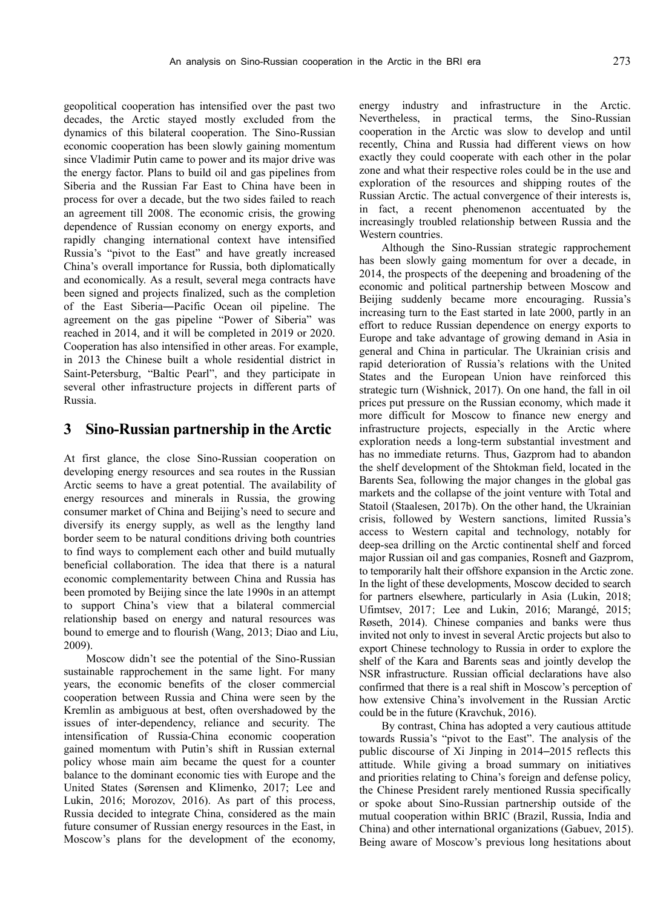geopolitical cooperation has intensified over the past two decades, the Arctic stayed mostly excluded from the dynamics of this bilateral cooperation. The Sino-Russian economic cooperation has been slowly gaining momentum since Vladimir Putin came to power and its major drive was the energy factor. Plans to build oil and gas pipelines from Siberia and the Russian Far East to China have been in process for over a decade, but the two sides failed to reach an agreement till 2008. The economic crisis, the growing dependence of Russian economy on energy exports, and rapidly changing international context have intensified Russia's "pivot to the East" and have greatly increased China's overall importance for Russia, both diplomatically and economically. As a result, several mega contracts have been signed and projects finalized, such as the completion of the East Siberia―Pacific Ocean oil pipeline. The agreement on the gas pipeline "Power of Siberia" was reached in 2014, and it will be completed in 2019 or 2020. Cooperation has also intensified in other areas. For example, in 2013 the Chinese built a whole residential district in Saint-Petersburg, "Baltic Pearl", and they participate in several other infrastructure projects in different parts of Russia.

#### **3 Sino-Russian partnership in the Arctic**

At first glance, the close Sino-Russian cooperation on developing energy resources and sea routes in the Russian Arctic seems to have a great potential. The availability of energy resources and minerals in Russia, the growing consumer market of China and Beijing's need to secure and diversify its energy supply, as well as the lengthy land border seem to be natural conditions driving both countries to find ways to complement each other and build mutually beneficial collaboration. The idea that there is a natural economic complementarity between China and Russia has been promoted by Beijing since the late 1990s in an attempt to support China's view that a bilateral commercial relationship based on energy and natural resources was bound to emerge and to flourish (Wang, 2013; Diao and Liu, 2009).

Moscow didn't see the potential of the Sino-Russian sustainable rapprochement in the same light. For many years, the economic benefits of the closer commercial cooperation between Russia and China were seen by the Kremlin as ambiguous at best, often overshadowed by the issues of inter-dependency, reliance and security. The intensification of Russia-China economic cooperation gained momentum with Putin's shift in Russian external policy whose main aim became the quest for a counter balance to the dominant economic ties with Europe and the United States (Sørensen and Klimenko, 2017; Lee and Lukin, 2016; Morozov, 2016). As part of this process, Russia decided to integrate China, considered as the main future consumer of Russian energy resources in the East, in Moscow's plans for the development of the economy, energy industry and infrastructure in the Arctic. Nevertheless, in practical terms, the Sino-Russian cooperation in the Arctic was slow to develop and until recently, China and Russia had different views on how exactly they could cooperate with each other in the polar zone and what their respective roles could be in the use and exploration of the resources and shipping routes of the Russian Arctic. The actual convergence of their interests is, in fact, a recent phenomenon accentuated by the increasingly troubled relationship between Russia and the Western countries.

Although the Sino-Russian strategic rapprochement has been slowly gaing momentum for over a decade, in 2014, the prospects of the deepening and broadening of the economic and political partnership between Moscow and Beijing suddenly became more encouraging. Russia's increasing turn to the East started in late 2000, partly in an effort to reduce Russian dependence on energy exports to Europe and take advantage of growing demand in Asia in general and China in particular. The Ukrainian crisis and rapid deterioration of Russia's relations with the United States and the European Union have reinforced this strategic turn (Wishnick, 2017). On one hand, the fall in oil prices put pressure on the Russian economy, which made it more difficult for Moscow to finance new energy and infrastructure projects, especially in the Arctic where exploration needs a long-term substantial investment and has no immediate returns. Thus, Gazprom had to abandon the shelf development of the Shtokman field, located in the Barents Sea, following the major changes in the global gas markets and the collapse of the joint venture with Total and Statoil (Staalesen, 2017b). On the other hand, the Ukrainian crisis, followed by Western sanctions, limited Russia's access to Western capital and technology, notably for deep-sea drilling on the Arctic continental shelf and forced major Russian oil and gas companies, Rosneft and Gazprom, to temporarily halt their offshore expansion in the Arctic zone. In the light of these developments, Moscow decided to search for partners elsewhere, particularly in Asia (Lukin, 2018; Ufimtsev, 2017; Lee and Lukin, 2016; Marangé, 2015; Røseth, 2014). Chinese companies and banks were thus invited not only to invest in several Arctic projects but also to export Chinese technology to Russia in order to explore the shelf of the Kara and Barents seas and jointly develop the NSR infrastructure. Russian official declarations have also confirmed that there is a real shift in Moscow's perception of how extensive China's involvement in the Russian Arctic could be in the future (Kravchuk, 2016).

By contrast, China has adopted a very cautious attitude towards Russia's "pivot to the East". The analysis of the public discourse of Xi Jinping in 2014–2015 reflects this attitude. While giving a broad summary on initiatives and priorities relating to China's foreign and defense policy, the Chinese President rarely mentioned Russia specifically or spoke about Sino-Russian partnership outside of the mutual cooperation within BRIC (Brazil, Russia, India and China) and other international organizations (Gabuev, 2015). Being aware of Moscow's previous long hesitations about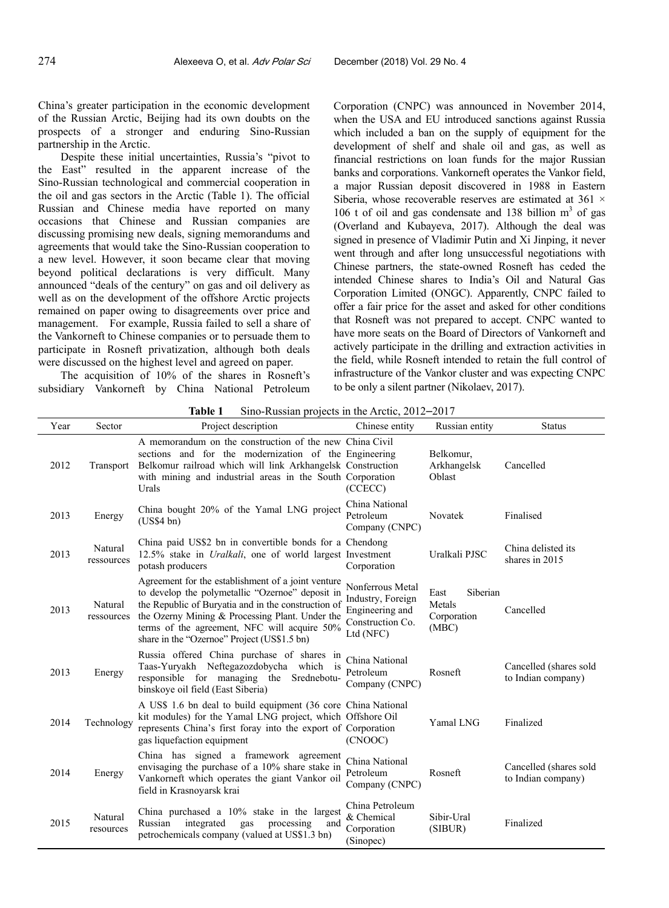China's greater participation in the economic development of the Russian Arctic, Beijing had its own doubts on the prospects of a stronger and enduring Sino-Russian partnership in the Arctic.

Despite these initial uncertainties, Russia's "pivot to the East" resulted in the apparent increase of the Sino-Russian technological and commercial cooperation in the oil and gas sectors in the Arctic (Table 1). The official Russian and Chinese media have reported on many occasions that Chinese and Russian companies are discussing promising new deals, signing memorandums and agreements that would take the Sino-Russian cooperation to a new level. However, it soon became clear that moving beyond political declarations is very difficult. Many announced "deals of the century" on gas and oil delivery as well as on the development of the offshore Arctic projects remained on paper owing to disagreements over price and management. For example, Russia failed to sell a share of the Vankorneft to Chinese companies or to persuade them to participate in Rosneft privatization, although both deals were discussed on the highest level and agreed on paper.

The acquisition of 10% of the shares in Rosneft's subsidiary Vankorneft by China National Petroleum

Corporation (CNPC) was announced in November 2014, when the USA and EU introduced sanctions against Russia which included a ban on the supply of equipment for the development of shelf and shale oil and gas, as well as financial restrictions on loan funds for the major Russian banks and corporations. Vankorneft operates the Vankor field, a major Russian deposit discovered in 1988 in Eastern Siberia, whose recoverable reserves are estimated at 361  $\times$ 106 t of oil and gas condensate and 138 billion  $m<sup>3</sup>$  of gas (Overland and Kubayeva, 2017). Although the deal was signed in presence of Vladimir Putin and Xi Jinping, it never went through and after long unsuccessful negotiations with Chinese partners, the state-owned Rosneft has ceded the intended Chinese shares to India's Oil and Natural Gas Corporation Limited (ONGC). Apparently, CNPC failed to offer a fair price for the asset and asked for other conditions that Rosneft was not prepared to accept. CNPC wanted to have more seats on the Board of Directors of Vankorneft and actively participate in the drilling and extraction activities in the field, while Rosneft intended to retain the full control of infrastructure of the Vankor cluster and was expecting CNPC to be only a silent partner (Nikolaev, 2017).

| Year | Sector                | Project description                                                                                                                                                                                                                                                                                             | Chinese entity                                                                            | Russian entity                                     | <b>Status</b>                                |
|------|-----------------------|-----------------------------------------------------------------------------------------------------------------------------------------------------------------------------------------------------------------------------------------------------------------------------------------------------------------|-------------------------------------------------------------------------------------------|----------------------------------------------------|----------------------------------------------|
| 2012 | Transport             | A memorandum on the construction of the new China Civil<br>sections and for the modernization of the Engineering<br>Belkomur railroad which will link Arkhangelsk Construction<br>with mining and industrial areas in the South Corporation<br>Urals                                                            | (CCECC)                                                                                   | Belkomur,<br>Arkhangelsk<br>Oblast                 | Cancelled                                    |
| 2013 | Energy                | China bought 20% of the Yamal LNG project<br>(US\$4 bn)                                                                                                                                                                                                                                                         | China National<br>Petroleum<br>Company (CNPC)                                             | Novatek                                            | Finalised                                    |
| 2013 | Natural<br>ressources | China paid US\$2 bn in convertible bonds for a Chendong<br>12.5% stake in <i>Uralkali</i> , one of world largest Investment<br>potash producers                                                                                                                                                                 | Corporation                                                                               | Uralkali PJSC                                      | China delisted its<br>shares in 2015         |
| 2013 | Natural<br>ressources | Agreement for the establishment of a joint venture<br>to develop the polymetallic "Ozernoe" deposit in<br>the Republic of Buryatia and in the construction of<br>the Ozerny Mining & Processing Plant. Under the<br>terms of the agreement, NFC will acquire 50%<br>share in the "Ozernoe" Project (US\$1.5 bn) | Nonferrous Metal<br>Industry, Foreign<br>Engineering and<br>Construction Co.<br>Ltd (NFC) | Siberian<br>East<br>Metals<br>Corporation<br>(MBC) | Cancelled                                    |
| 2013 | Energy                | Russia offered China purchase of shares in<br>Taas-Yuryakh Neftegazozdobycha which is<br>responsible for managing the<br>Srednebotu-<br>binskoye oil field (East Siberia)                                                                                                                                       | China National<br>Petroleum<br>Company (CNPC)                                             | Rosneft                                            | Cancelled (shares sold<br>to Indian company) |
| 2014 | Technology            | A US\$ 1.6 bn deal to build equipment (36 core China National<br>kit modules) for the Yamal LNG project, which Offshore Oil<br>represents China's first foray into the export of Corporation<br>gas liquefaction equipment                                                                                      | (CNOOC)                                                                                   | Yamal LNG                                          | Finalized                                    |
| 2014 | Energy                | China has signed a framework agreement<br>envisaging the purchase of a 10% share stake in<br>Vankorneft which operates the giant Vankor oil<br>field in Krasnoyarsk krai                                                                                                                                        | China National<br>Petroleum<br>Company (CNPC)                                             | Rosneft                                            | Cancelled (shares sold<br>to Indian company) |
| 2015 | Natural<br>resources  | China purchased a $10\%$ stake in the largest<br>integrated<br>Russian<br>gas<br>processing<br>and<br>petrochemicals company (valued at US\$1.3 bn)                                                                                                                                                             | China Petroleum<br>& Chemical<br>Corporation<br>(Sinopec)                                 | Sibir-Ural<br>(SIBUR)                              | Finalized                                    |

**Table 1** Sino-Russian projects in the Arctic, 2012–2017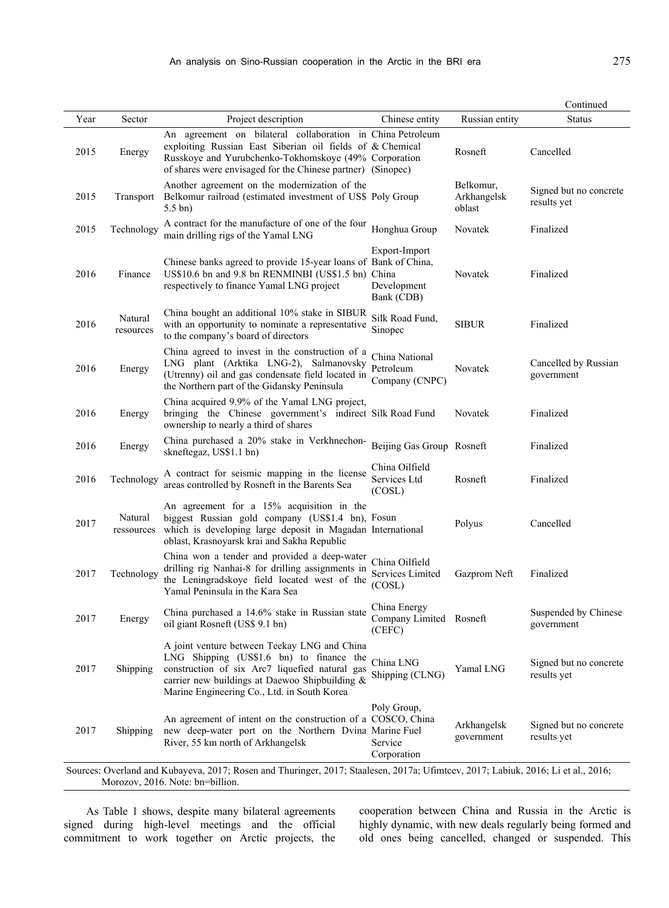|                                                                                                                                   |                      |                                                                                                                                                                                                                                                 |                                                     |                                    | Continued                             |  |
|-----------------------------------------------------------------------------------------------------------------------------------|----------------------|-------------------------------------------------------------------------------------------------------------------------------------------------------------------------------------------------------------------------------------------------|-----------------------------------------------------|------------------------------------|---------------------------------------|--|
| Year                                                                                                                              | Sector               | Project description                                                                                                                                                                                                                             | Chinese entity                                      | Russian entity                     | <b>Status</b>                         |  |
| 2015                                                                                                                              | Energy               | An agreement on bilateral collaboration in China Petroleum<br>exploiting Russian East Siberian oil fields of & Chemical<br>Russkoye and Yurubchenko-Tokhomskoye (49% Corporation<br>of shares were envisaged for the Chinese partner) (Sinopec) |                                                     | Rosneft                            | Cancelled                             |  |
| 2015                                                                                                                              | Transport            | Another agreement on the modernization of the<br>Belkomur railroad (estimated investment of US\$ Poly Group<br>$5.5 \text{ bn}$                                                                                                                 |                                                     | Belkomur,<br>Arkhangelsk<br>oblast | Signed but no concrete<br>results yet |  |
| 2015                                                                                                                              | Technology           | A contract for the manufacture of one of the four<br>main drilling rigs of the Yamal LNG                                                                                                                                                        | Honghua Group                                       | Novatek                            | Finalized                             |  |
| 2016                                                                                                                              | Finance              | Chinese banks agreed to provide 15-year loans of Bank of China,<br>US\$10.6 bn and 9.8 bn RENMINBI (US\$1.5 bn)<br>respectively to finance Yamal LNG project                                                                                    | Export-Import<br>China<br>Development<br>Bank (CDB) | Novatek                            | Finalized                             |  |
| 2016                                                                                                                              | Natural<br>resources | China bought an additional 10% stake in SIBUR<br>with an opportunity to nominate a representative<br>to the company's board of directors                                                                                                        | Silk Road Fund,<br>Sinopec                          | <b>SIBUR</b>                       | Finalized                             |  |
| 2016                                                                                                                              | Energy               | China agreed to invest in the construction of a<br>LNG plant (Arktika LNG-2), Salmanovsky<br>(Utrenny) oil and gas condensate field located in<br>the Northern part of the Gidansky Peninsula                                                   | China National<br>Petroleum<br>Company (CNPC)       | Novatek                            | Cancelled by Russian<br>government    |  |
| 2016                                                                                                                              | Energy               | China acquired 9.9% of the Yamal LNG project,<br>bringing the Chinese government's indirect Silk Road Fund<br>ownership to nearly a third of shares                                                                                             |                                                     | Novatek                            | Finalized                             |  |
| 2016                                                                                                                              | Energy               | China purchased a 20% stake in Verkhnechon-<br>skneftegaz, US\$1.1 bn)                                                                                                                                                                          | Beijing Gas Group Rosneft                           |                                    | Finalized                             |  |
| 2016                                                                                                                              | Technology           | A contract for seismic mapping in the license<br>areas controlled by Rosneft in the Barents Sea                                                                                                                                                 | China Oilfield<br>Services Ltd<br>(COSL)            | Rosneft                            | Finalized                             |  |
| 2017                                                                                                                              | Natural              | An agreement for a 15% acquisition in the<br>biggest Russian gold company (US\$1.4 bn), Fosun<br>ressources which is developing large deposit in Magadan International<br>oblast, Krasnoyarsk krai and Sakha Republic                           |                                                     | Polyus                             | Cancelled                             |  |
| 2017                                                                                                                              | Technology           | China won a tender and provided a deep-water<br>drilling rig Nanhai-8 for drilling assignments in<br>the Leningradskoye field located west of the<br>Yamal Peninsula in the Kara Sea                                                            | China Oilfield<br>Services Limited<br>(COSL)        | Gazprom Neft                       | Finalized                             |  |
| 2017                                                                                                                              | Energy               | China purchased a 14.6% stake in Russian state<br>oil giant Rosneft (US\$ 9.1 bn)                                                                                                                                                               | China Energy<br>Company Limited Rosneft<br>(CEFC)   |                                    | Suspended by Chinese<br>government    |  |
| 2017                                                                                                                              | Shipping             | A joint venture between Teekay LNG and China<br>LNG Shipping (US\$1.6 bn) to finance the<br>construction of six Arc7 liquefied natural gas<br>carrier new buildings at Daewoo Shipbuilding &<br>Marine Engineering Co., Ltd. in South Korea     | China LNG<br>Shipping (CLNG)                        | Yamal LNG                          | Signed but no concrete<br>results yet |  |
| 2017                                                                                                                              | Shipping             | An agreement of intent on the construction of a COSCO, China<br>new deep-water port on the Northern Dvina Marine Fuel<br>River, 55 km north of Arkhangelsk                                                                                      | Poly Group,<br>Service<br>Corporation               | Arkhangelsk<br>government          | Signed but no concrete<br>results yet |  |
| Sources: Overland and Kubayeva, 2017; Rosen and Thuringer, 2017; Staalesen, 2017a; Ufimtcev, 2017; Labiuk, 2016; Li et al., 2016; |                      |                                                                                                                                                                                                                                                 |                                                     |                                    |                                       |  |

Morozov, 2016. Note: bn=billion.

As Table 1 shows, despite many bilateral agreements signed during high-level meetings and the official commitment to work together on Arctic projects, the

cooperation between China and Russia in the Arctic is highly dynamic, with new deals regularly being formed and old ones being cancelled, changed or suspended. This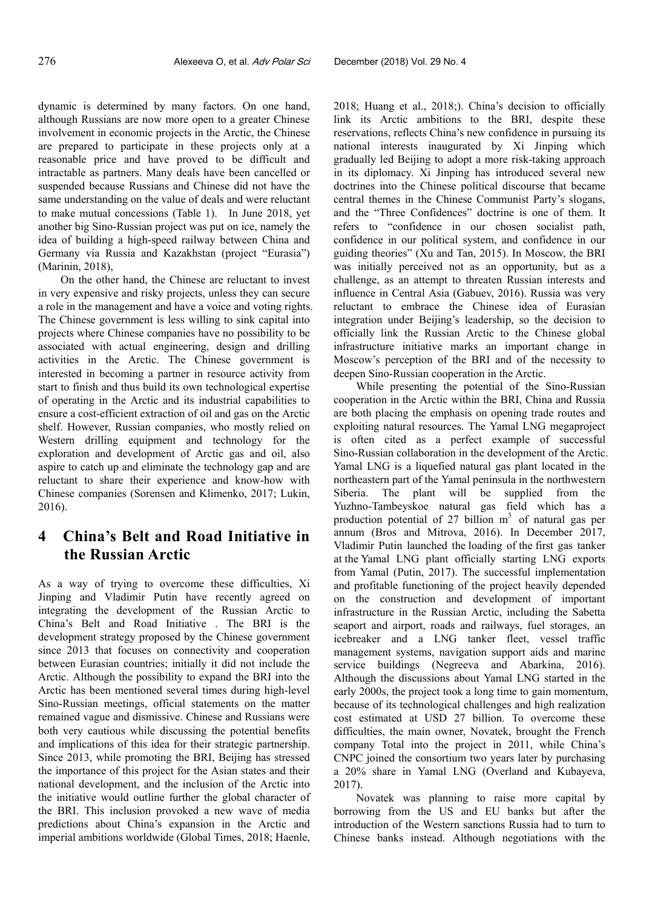dynamic is determined by many factors. On one hand, although Russians are now more open to a greater Chinese involvement in economic projects in the Arctic, the Chinese are prepared to participate in these projects only at a reasonable price and have proved to be difficult and intractable as partners. Many deals have been cancelled or suspended because Russians and Chinese did not have the same understanding on the value of deals and were reluctant to make mutual concessions (Table 1). In June 2018, yet another big Sino-Russian project was put on ice, namely the idea of building a high-speed railway between China and Germany via Russia and Kazakhstan (project "Eurasia") (Marinin, 2018),

On the other hand, the Chinese are reluctant to invest in very expensive and risky projects, unless they can secure a role in the management and have a voice and voting rights. The Chinese government is less willing to sink capital into projects where Chinese companies have no possibility to be associated with actual engineering, design and drilling activities in the Arctic. The Chinese government is interested in becoming a partner in resource activity from start to finish and thus build its own technological expertise of operating in the Arctic and its industrial capabilities to ensure a cost-efficient extraction of oil and gas on the Arctic shelf. However, Russian companies, who mostly relied on Western drilling equipment and technology for the exploration and development of Arctic gas and oil, also aspire to catch up and eliminate the technology gap and are reluctant to share their experience and know-how with Chinese companies (Sorensen and Klimenko, 2017; Lukin, 2016).

## **4 China's Belt and Road Initiative in the Russian Arctic**

As a way of trying to overcome these difficulties, Xi Jinping and Vladimir Putin have recently agreed on integrating the development of the Russian Arctic to China's Belt and Road Initiative . The BRI is the development strategy proposed by the Chinese government since 2013 that focuses on connectivity and cooperation between Eurasian countries; initially it did not include the Arctic. Although the possibility to expand the BRI into the Arctic has been mentioned several times during high-level Sino-Russian meetings, official statements on the matter remained vague and dismissive. Chinese and Russians were both very cautious while discussing the potential benefits and implications of this idea for their strategic partnership. Since 2013, while promoting the BRI, Beijing has stressed the importance of this project for the Asian states and their national development, and the inclusion of the Arctic into the initiative would outline further the global character of the BRI. This inclusion provoked a new wave of media predictions about China's expansion in the Arctic and imperial ambitions worldwide (Global Times, 2018; Haenle,

2018; Huang et al., 2018;). China's decision to officially link its Arctic ambitions to the BRI, despite these reservations, reflects China's new confidence in pursuing its national interests inaugurated by Xi Jinping which gradually led Beijing to adopt a more risk-taking approach in its diplomacy. Xi Jinping has introduced several new doctrines into the Chinese political discourse that became central themes in the Chinese Communist Party's slogans, and the "Three Confidences" doctrine is one of them. It refers to "confidence in our chosen socialist path, confidence in our political system, and confidence in our guiding theories" (Xu and Tan, 2015). In Moscow, the BRI was initially perceived not as an opportunity, but as a challenge, as an attempt to threaten Russian interests and influence in Central Asia (Gabuev, 2016). Russia was very reluctant to embrace the Chinese idea of Eurasian integration under Beijing's leadership, so the decision to officially link the Russian Arctic to the Chinese global infrastructure initiative marks an important change in Moscow's perception of the BRI and of the necessity to deepen Sino-Russian cooperation in the Arctic.

While presenting the potential of the Sino-Russian cooperation in the Arctic within the BRI, China and Russia are both placing the emphasis on opening trade routes and exploiting natural resources. The Yamal LNG megaproject is often cited as a perfect example of successful Sino-Russian collaboration in the development of the Arctic. Yamal LNG is a liquefied natural gas plant located in the northeastern part of the Yamal peninsula in the northwestern Siberia. The plant will be supplied from the Yuzhno-Tambeyskoe natural gas field which has a production potential of 27 billion  $m<sup>3</sup>$  of natural gas per annum (Bros and Mitrova, 2016). In December 2017, Vladimir Putin launched the loading of the first gas tanker at the Yamal LNG plant officially starting LNG exports from Yamal (Putin, 2017). The successful implementation and profitable functioning of the project heavily depended on the construction and development of important infrastructure in the Russian Arctic, including the Sabetta seaport and airport, roads and railways, fuel storages, an icebreaker and a LNG tanker fleet, vessel traffic management systems, navigation support aids and marine service buildings (Negreeva and Abarkina, 2016). Although the discussions about Yamal LNG started in the early 2000s, the project took a long time to gain momentum, because of its technological challenges and high realization cost estimated at USD 27 billion. To overcome these difficulties, the main owner, Novatek, brought the French company Total into the project in 2011, while China's CNPC joined the consortium two years later by purchasing a 20% share in Yamal LNG (Overland and Kubayeva, 2017).

Novatek was planning to raise more capital by borrowing from the US and EU banks but after the introduction of the Western sanctions Russia had to turn to Chinese banks instead. Although negotiations with the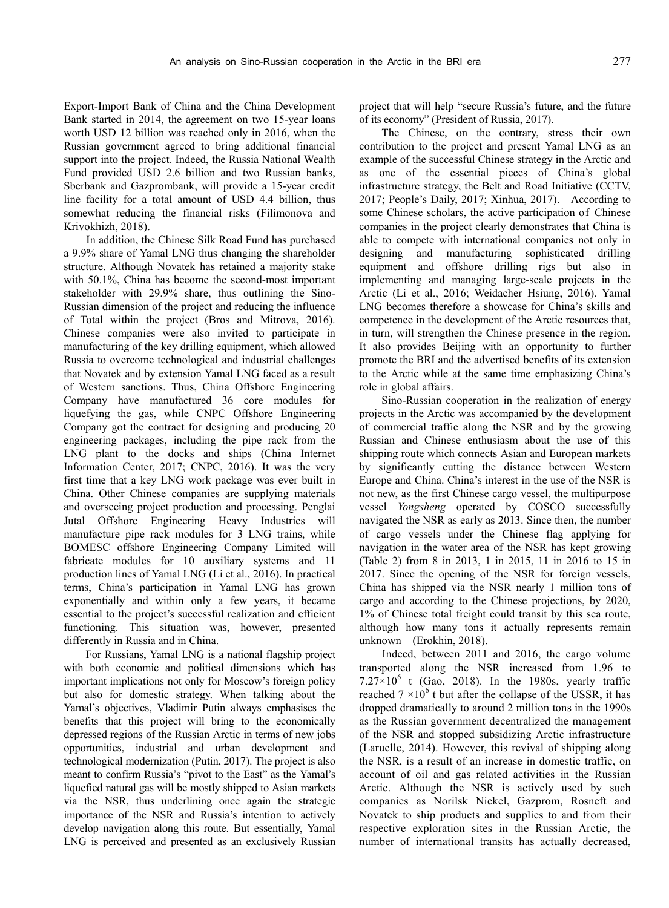Export-Import Bank of China and the China Development Bank started in 2014, the agreement on two 15-year loans worth USD 12 billion was reached only in 2016, when the Russian government agreed to bring additional financial support into the project. Indeed, the Russia National Wealth Fund provided USD 2.6 billion and two Russian banks, Sberbank and Gazprombank, will provide a 15-year credit line facility for a total amount of USD 4.4 billion, thus somewhat reducing the financial risks (Filimonova and Krivokhizh, 2018).

In addition, the Chinese Silk Road Fund has purchased a 9.9% share of Yamal LNG thus changing the shareholder structure. Although Novatek has retained a majority stake with 50.1%, China has become the second-most important stakeholder with 29.9% share, thus outlining the Sino-Russian dimension of the project and reducing the influence of Total within the project (Bros and Mitrova, 2016). Chinese companies were also invited to participate in manufacturing of the key drilling equipment, which allowed Russia to overcome technological and industrial challenges that Novatek and by extension Yamal LNG faced as a result of Western sanctions. Thus, China Offshore Engineering Company have manufactured 36 core modules for liquefying the gas, while CNPC Offshore Engineering Company got the contract for designing and producing 20 engineering packages, including the pipe rack from the LNG plant to the docks and ships (China Internet Information Center, 2017; CNPC, 2016). It was the very first time that a key LNG work package was ever built in China. Other Chinese companies are supplying materials and overseeing project production and processing. Penglai Jutal Offshore Engineering Heavy Industries will manufacture pipe rack modules for 3 LNG trains, while BOMESC offshore Engineering Company Limited will fabricate modules for 10 auxiliary systems and 11 production lines of Yamal LNG (Li et al., 2016). In practical terms, China's participation in Yamal LNG has grown exponentially and within only a few years, it became essential to the project's successful realization and efficient functioning. This situation was, however, presented differently in Russia and in China.

For Russians, Yamal LNG is a national flagship project with both economic and political dimensions which has important implications not only for Moscow's foreign policy but also for domestic strategy. When talking about the Yamal's objectives, Vladimir Putin always emphasises the benefits that this project will bring to the economically depressed regions of the Russian Arctic in terms of new jobs opportunities, industrial and urban development and technological modernization (Putin, 2017). The project is also meant to confirm Russia's "pivot to the East" as the Yamal's liquefied natural gas will be mostly shipped to Asian markets via the NSR, thus underlining once again the strategic importance of the NSR and Russia's intention to actively develop navigation along this route. But essentially, Yamal LNG is perceived and presented as an exclusively Russian project that will help "secure Russia's future, and the future of its economy" (President of Russia, 2017).

The Chinese, on the contrary, stress their own contribution to the project and present Yamal LNG as an example of the successful Chinese strategy in the Arctic and as one of the essential pieces of China's global infrastructure strategy, the Belt and Road Initiative (CCTV, 2017; People's Daily, 2017; Xinhua, 2017). According to some Chinese scholars, the active participation of Chinese companies in the project clearly demonstrates that China is able to compete with international companies not only in designing and manufacturing sophisticated drilling equipment and offshore drilling rigs but also in implementing and managing large-scale projects in the Arctic (Li et al., 2016; Weidacher Hsiung, 2016). Yamal LNG becomes therefore a showcase for China's skills and competence in the development of the Arctic resources that, in turn, will strengthen the Chinese presence in the region. It also provides Beijing with an opportunity to further promote the BRI and the advertised benefits of its extension to the Arctic while at the same time emphasizing China's role in global affairs.

Sino-Russian cooperation in the realization of energy projects in the Arctic was accompanied by the development of commercial traffic along the NSR and by the growing Russian and Chinese enthusiasm about the use of this shipping route which connects Asian and European markets by significantly cutting the distance between Western Europe and China. China's interest in the use of the NSR is not new, as the first Chinese cargo vessel, the multipurpose vessel *Yongsheng* operated by COSCO successfully navigated the NSR as early as 2013. Since then, the number of cargo vessels under the Chinese flag applying for navigation in the water area of the NSR has kept growing (Table 2) from 8 in 2013, 1 in 2015, 11 in 2016 to 15 in 2017. Since the opening of the NSR for foreign vessels, China has shipped via the NSR nearly 1 million tons of cargo and according to the Chinese projections, by 2020, 1% of Chinese total freight could transit by this sea route, although how many tons it actually represents remain unknown (Erokhin, 2018).

Indeed, between 2011 and 2016, the cargo volume transported along the NSR increased from 1.96 to  $7.27 \times 10^6$  t (Gao, 2018). In the 1980s, yearly traffic reached  $7 \times 10^6$  t but after the collapse of the USSR, it has dropped dramatically to around 2 million tons in the 1990s as the Russian government decentralized the management of the NSR and stopped subsidizing Arctic infrastructure (Laruelle, 2014). However, this revival of shipping along the NSR, is a result of an increase in domestic traffic, on account of oil and gas related activities in the Russian Arctic. Although the NSR is actively used by such companies as Norilsk Nickel, Gazprom, Rosneft and Novatek to ship products and supplies to and from their respective exploration sites in the Russian Arctic, the number of international transits has actually decreased,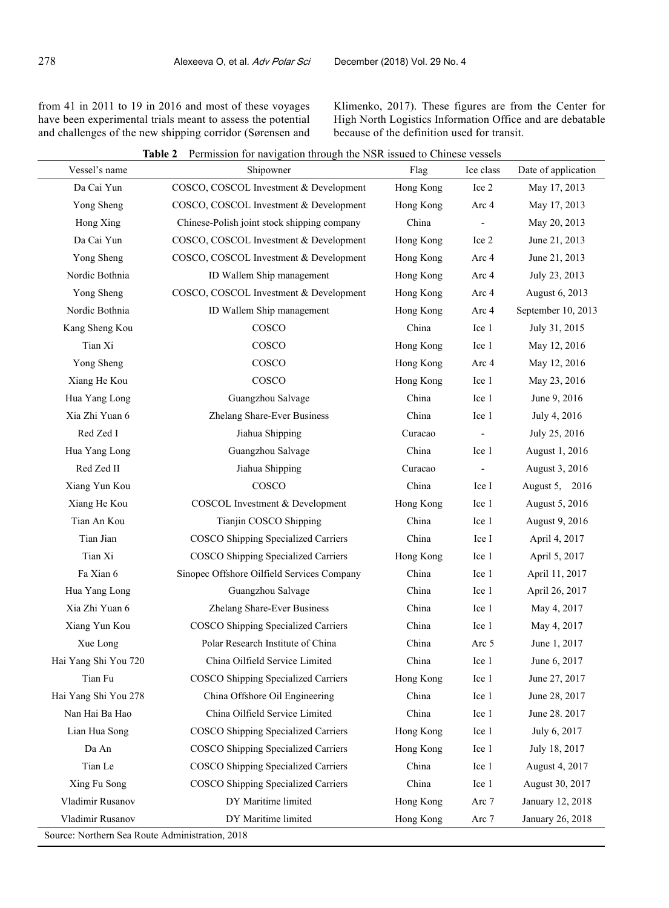from 41 in 2011 to 19 in 2016 and most of these voyages have been experimental trials meant to assess the potential and challenges of the new shipping corridor (Sørensen and Klimenko, 2017). These figures are from the Center for High North Logistics Information Office and are debatable because of the definition used for transit.

| Vessel's name        | TUTHISSION TOT HAVIGATION UNOUGH THE TYSIX ISSUED TO CHINESE VESSUS<br>Shipowner | Flag      | Ice class | Date of application |
|----------------------|----------------------------------------------------------------------------------|-----------|-----------|---------------------|
| Da Cai Yun           | COSCO, COSCOL Investment & Development                                           | Hong Kong | Ice 2     | May 17, 2013        |
| Yong Sheng           | COSCO, COSCOL Investment & Development                                           | Hong Kong | Arc 4     | May 17, 2013        |
| Hong Xing            | Chinese-Polish joint stock shipping company                                      | China     |           | May 20, 2013        |
| Da Cai Yun           | COSCO, COSCOL Investment & Development                                           | Hong Kong | Ice 2     | June 21, 2013       |
| Yong Sheng           | COSCO, COSCOL Investment & Development                                           | Hong Kong | Arc 4     | June 21, 2013       |
| Nordic Bothnia       | ID Wallem Ship management                                                        | Hong Kong | Arc 4     | July 23, 2013       |
| Yong Sheng           | COSCO, COSCOL Investment & Development                                           | Hong Kong | Arc 4     | August 6, 2013      |
| Nordic Bothnia       | ID Wallem Ship management                                                        | Hong Kong | Arc 4     | September 10, 2013  |
| Kang Sheng Kou       | COSCO                                                                            | China     | Ice 1     | July 31, 2015       |
| Tian Xi              | COSCO                                                                            | Hong Kong | Ice 1     | May 12, 2016        |
| Yong Sheng           | COSCO                                                                            | Hong Kong | Arc 4     | May 12, 2016        |
| Xiang He Kou         | COSCO                                                                            | Hong Kong | Ice 1     | May 23, 2016        |
| Hua Yang Long        | Guangzhou Salvage                                                                | China     | Ice 1     | June 9, 2016        |
| Xia Zhi Yuan 6       | Zhelang Share-Ever Business                                                      | China     | Ice 1     | July 4, 2016        |
| Red Zed I            | Jiahua Shipping                                                                  | Curacao   |           | July 25, 2016       |
| Hua Yang Long        | Guangzhou Salvage                                                                | China     | Ice 1     | August 1, 2016      |
| Red Zed II           | Jiahua Shipping                                                                  | Curacao   |           | August 3, 2016      |
| Xiang Yun Kou        | COSCO                                                                            | China     | Ice I     | August 5, 2016      |
| Xiang He Kou         | COSCOL Investment & Development                                                  | Hong Kong | Ice 1     | August 5, 2016      |
| Tian An Kou          | Tianjin COSCO Shipping                                                           | China     | Ice 1     | August 9, 2016      |
| Tian Jian            | COSCO Shipping Specialized Carriers                                              | China     | Ice I     | April 4, 2017       |
| Tian Xi              | COSCO Shipping Specialized Carriers                                              | Hong Kong | Ice 1     | April 5, 2017       |
| Fa Xian 6            | Sinopec Offshore Oilfield Services Company                                       | China     | Ice 1     | April 11, 2017      |
| Hua Yang Long        | Guangzhou Salvage                                                                | China     | Ice 1     | April 26, 2017      |
| Xia Zhi Yuan 6       | Zhelang Share-Ever Business                                                      | China     | Ice 1     | May 4, 2017         |
| Xiang Yun Kou        | COSCO Shipping Specialized Carriers                                              | China     | Ice 1     | May 4, 2017         |
| Xue Long             | Polar Research Institute of China                                                | China     | Arc 5     | June 1, 2017        |
| Hai Yang Shi You 720 | China Oilfield Service Limited                                                   | China     | Ice 1     | June 6, 2017        |
| Tian Fu              | COSCO Shipping Specialized Carriers                                              | Hong Kong | Ice 1     | June 27, 2017       |
| Hai Yang Shi You 278 | China Offshore Oil Engineering                                                   | China     | Ice 1     | June 28, 2017       |
| Nan Hai Ba Hao       | China Oilfield Service Limited                                                   | China     | Ice 1     | June 28. 2017       |
| Lian Hua Song        | COSCO Shipping Specialized Carriers                                              | Hong Kong | Ice 1     | July 6, 2017        |
| Da An                | COSCO Shipping Specialized Carriers                                              | Hong Kong | Ice 1     | July 18, 2017       |
| Tian Le              | COSCO Shipping Specialized Carriers                                              | China     | Ice 1     | August 4, 2017      |
| Xing Fu Song         | COSCO Shipping Specialized Carriers                                              | China     | Ice 1     | August 30, 2017     |
| Vladimir Rusanov     | DY Maritime limited                                                              | Hong Kong | Arc 7     | January 12, 2018    |
| Vladimir Rusanov     | DY Maritime limited                                                              | Hong Kong | Arc 7     | January 26, 2018    |

**Table 2** Permission for navigation through the NSR issued to Chinese vessels

Source: Northern Sea Route Administration, 2018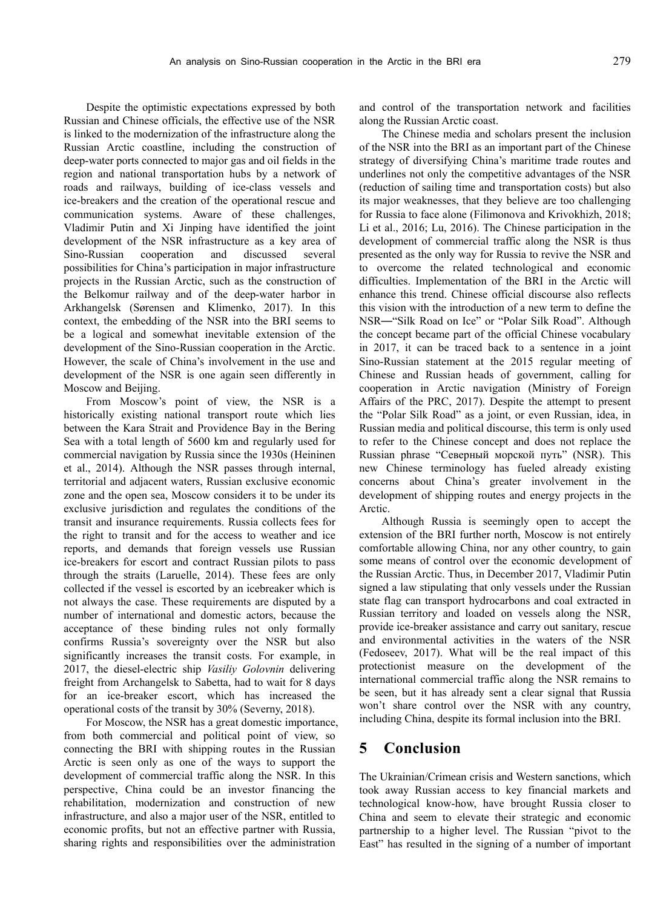Despite the optimistic expectations expressed by both Russian and Chinese officials, the effective use of the NSR is linked to the modernization of the infrastructure along the Russian Arctic coastline, including the construction of deep-water ports connected to major gas and oil fields in the region and national transportation hubs by a network of roads and railways, building of ice-class vessels and ice-breakers and the creation of the operational rescue and communication systems. Aware of these challenges, Vladimir Putin and Xi Jinping have identified the joint development of the NSR infrastructure as a key area of Sino-Russian cooperation and discussed several possibilities for China's participation in major infrastructure projects in the Russian Arctic, such as the construction of the Belkomur railway and of the deep-water harbor in Arkhangelsk (Sørensen and Klimenko, 2017). In this context, the embedding of the NSR into the BRI seems to be a logical and somewhat inevitable extension of the development of the Sino-Russian cooperation in the Arctic. However, the scale of China's involvement in the use and development of the NSR is one again seen differently in Moscow and Beijing.

From Moscow's point of view, the NSR is a historically existing national transport route which lies between the Kara Strait and Providence Bay in the Bering Sea with a total length of 5600 km and regularly used for commercial navigation by Russia since the 1930s (Heininen et al., 2014). Although the NSR passes through internal, territorial and adjacent waters, Russian exclusive economic zone and the open sea, Moscow considers it to be under its exclusive jurisdiction and regulates the conditions of the transit and insurance requirements. Russia collects fees for the right to transit and for the access to weather and ice reports, and demands that foreign vessels use Russian ice-breakers for escort and contract Russian pilots to pass through the straits (Laruelle, 2014). These fees are only collected if the vessel is escorted by an icebreaker which is not always the case. These requirements are disputed by a number of international and domestic actors, because the acceptance of these binding rules not only formally confirms Russia's sovereignty over the NSR but also significantly increases the transit costs. For example, in 2017, the diesel-electric ship *Vasiliy Golovnin* delivering freight from Archangelsk to Sabetta, had to wait for 8 days for an ice-breaker escort, which has increased the operational costs of the transit by 30% (Severny, 2018).

For Moscow, the NSR has a great domestic importance, from both commercial and political point of view, so connecting the BRI with shipping routes in the Russian Arctic is seen only as one of the ways to support the development of commercial traffic along the NSR. In this perspective, China could be an investor financing the rehabilitation, modernization and construction of new infrastructure, and also a major user of the NSR, entitled to economic profits, but not an effective partner with Russia, sharing rights and responsibilities over the administration

and control of the transportation network and facilities along the Russian Arctic coast.

The Chinese media and scholars present the inclusion of the NSR into the BRI as an important part of the Chinese strategy of diversifying China's maritime trade routes and underlines not only the competitive advantages of the NSR (reduction of sailing time and transportation costs) but also its major weaknesses, that they believe are too challenging for Russia to face alone (Filimonova and Krivokhizh, 2018; Li et al., 2016; Lu, 2016). The Chinese participation in the development of commercial traffic along the NSR is thus presented as the only way for Russia to revive the NSR and to overcome the related technological and economic difficulties. Implementation of the BRI in the Arctic will enhance this trend. Chinese official discourse also reflects this vision with the introduction of a new term to define the NSR—"Silk Road on Ice" or "Polar Silk Road". Although the concept became part of the official Chinese vocabulary in 2017, it can be traced back to a sentence in a joint Sino-Russian statement at the 2015 regular meeting of Chinese and Russian heads of government, calling for cooperation in Arctic navigation (Ministry of Foreign Affairs of the PRC, 2017). Despite the attempt to present the "Polar Silk Road" as a joint, or even Russian, idea, in Russian media and political discourse, this term is only used to refer to the Chinese concept and does not replace the Russian phrase "Северный морской путь" (NSR). This new Chinese terminology has fueled already existing concerns about China's greater involvement in the development of shipping routes and energy projects in the Arctic.

Although Russia is seemingly open to accept the extension of the BRI further north, Moscow is not entirely comfortable allowing China, nor any other country, to gain some means of control over the economic development of the Russian Arctic. Thus, in December 2017, Vladimir Putin signed a law stipulating that only vessels under the Russian state flag can transport hydrocarbons and coal extracted in Russian territory and loaded on vessels along the NSR, provide ice-breaker assistance and carry out sanitary, rescue and environmental activities in the waters of the NSR (Fedoseev, 2017). What will be the real impact of this protectionist measure on the development of the international commercial traffic along the NSR remains to be seen, but it has already sent a clear signal that Russia won't share control over the NSR with any country, including China, despite its formal inclusion into the BRI.

### **5 Conclusion**

The Ukrainian/Crimean crisis and Western sanctions, which took away Russian access to key financial markets and technological know-how, have brought Russia closer to China and seem to elevate their strategic and economic partnership to a higher level. The Russian "pivot to the East" has resulted in the signing of a number of important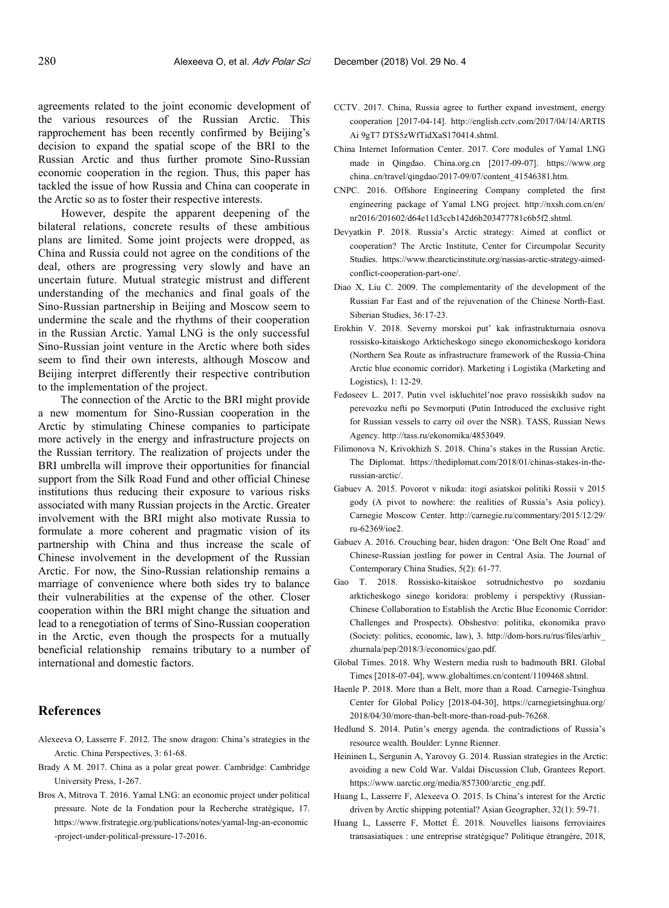agreements related to the joint economic development of the various resources of the Russian Arctic. This rapprochement has been recently confirmed by Beijing's decision to expand the spatial scope of the BRI to the Russian Arctic and thus further promote Sino-Russian economic cooperation in the region. Thus, this paper has tackled the issue of how Russia and China can cooperate in the Arctic so as to foster their respective interests.

However, despite the apparent deepening of the bilateral relations, concrete results of these ambitious plans are limited. Some joint projects were dropped, as China and Russia could not agree on the conditions of the deal, others are progressing very slowly and have an uncertain future. Mutual strategic mistrust and different understanding of the mechanics and final goals of the Sino-Russian partnership in Beijing and Moscow seem to undermine the scale and the rhythms of their cooperation in the Russian Arctic. Yamal LNG is the only successful Sino-Russian joint venture in the Arctic where both sides seem to find their own interests, although Moscow and Beijing interpret differently their respective contribution to the implementation of the project.

The connection of the Arctic to the BRI might provide a new momentum for Sino-Russian cooperation in the Arctic by stimulating Chinese companies to participate more actively in the energy and infrastructure projects on the Russian territory. The realization of projects under the BRI umbrella will improve their opportunities for financial support from the Silk Road Fund and other official Chinese institutions thus reducing their exposure to various risks associated with many Russian projects in the Arctic. Greater involvement with the BRI might also motivate Russia to formulate a more coherent and pragmatic vision of its partnership with China and thus increase the scale of Chinese involvement in the development of the Russian Arctic. For now, the Sino-Russian relationship remains a marriage of convenience where both sides try to balance their vulnerabilities at the expense of the other. Closer cooperation within the BRI might change the situation and lead to a renegotiation of terms of Sino-Russian cooperation in the Arctic, even though the prospects for a mutually beneficial relationship remains tributary to a number of international and domestic factors.

#### **References**

- Alexeeva O, Lasserre F. 2012. The snow dragon: China's strategies in the Arctic. China Perspectives, 3: 61-68.
- Brady A M. 2017. China as a polar great power. Cambridge: Cambridge University Press, 1-267.
- Bros A, Mitrova T. 2016. Yamal LNG: an economic project under political pressure. Note de la Fondation pour la Recherche stratégique, 17. https://www.frstrategie.org/publications/notes/yamal-lng-an-economic -project-under-political-pressure-17-2016.
- CCTV. 2017. China, Russia agree to further expand investment, energy cooperation [2017-04-14]. http://english.cctv.com/2017/04/14/ARTIS Ai 9gT7 DTS5zWfTidXaS170414.shtml.
- China Internet Information Center. 2017. Core modules of Yamal LNG made in Qingdao. China.org.cn [2017-09-07]. https://www.org china..cn/travel/qingdao/2017-09/07/content\_41546381.htm.
- CNPC. 2016. Offshore Engineering Company completed the first engineering package of Yamal LNG project. http://nxsh.com.cn/en/ nr2016/201602/d64e11d3ccb142d6b203477781c6b5f2.shtml.
- Devyatkin P. 2018. Russia's Arctic strategy: Aimed at conflict or cooperation? The Arctic Institute, Center for Circumpolar Security Studies. https://www.thearcticinstitute.org/russias-arctic-strategy-aimedconflict-cooperation-part-one/.
- Diao X, Liu C. 2009. The complementarity of the development of the Russian Far East and of the rejuvenation of the Chinese North-East. Siberian Studies, 36:17-23.
- Erokhin V. 2018. Severny morskoi put' kak infrastrukturnaia osnova rossisko-kitaiskogo Arkticheskogo sinego ekonomicheskogo koridora (Northern Sea Route as infrastructure framework of the Russia-China Arctic blue economic corridor). Marketing i Logistika (Marketing and Logistics), 1: 12-29.
- Fedoseev L. 2017. Putin vvel iskluchitel'noe pravo rossiskikh sudov na perevozku nefti po Sevmorputi (Putin Introduced the exclusive right for Russian vessels to carry oil over the NSR). TASS, Russian News Agency. http://tass.ru/ekonomika/4853049.
- Filimonova N, Krivokhizh S. 2018. China's stakes in the Russian Arctic. The Diplomat. https://thediplomat.com/2018/01/chinas-stakes-in-therussian-arctic/.
- Gabuev А. 2015. Povorot v nikuda: itogi asiatskoi politiki Rossii v 2015 gody (A pivot to nowhere: the realities of Russia's Asia policy). Carnegie Moscow Center. http://carnegie.ru/commentary/2015/12/29/ ru-62369/ioe2.
- Gabuev A. 2016. Crouching bear, hiden dragon: 'One Belt One Road' and Chinese-Russian jostling for power in Central Asia. The Journal of Contemporary China Studies, 5(2): 61-77.
- Gao T. 2018. Rossisko-kitaiskoe sotrudnichestvo po sozdaniu arkticheskogo sinego koridora: problemy i perspektivy (Russian-Chinese Collaboration to Establish the Arctic Blue Economic Corridor: Challenges and Prospects). Obshestvo: politika, ekonomika pravo (Society: politics, economic, law), 3. http://dom-hors.ru/rus/files/arhiv\_ zhurnala/pep/2018/3/economics/gao.pdf.
- Global Times. 2018. Why Western media rush to badmouth BRI. Global Times [2018-07-04], www.globaltimes.cn/content/1109468.shtml.
- Haenle P. 2018. More than a Belt, more than a Road. Carnegie-Tsinghua Center for Global Policy [2018-04-30], https://carnegietsinghua.org/ 2018/04/30/more-than-belt-more-than-road-pub-76268.
- Hedlund S. 2014. Putin's energy agenda. the contradictions of Russia's resource wealth. Boulder: Lynne Rienner.
- Heininen L, Sergunin A, Yarovoy G. 2014. Russian strategies in the Arctic: avoiding a new Cold War. Valdai Discussion Club, Grantees Report. https://www.uarctic.org/media/857300/arctic\_eng.pdf.
- Huang L, Lasserre F, Alexeeva O. 2015. Is China's interest for the Arctic driven by Arctic shipping potential? Asian Geographer, 32(1): 59-71.
- Huang L, Lasserre F, Mottet É. 2018. Nouvelles liaisons ferroviaires transasiatiques : une entreprise stratégique? Politique étrangère, 2018,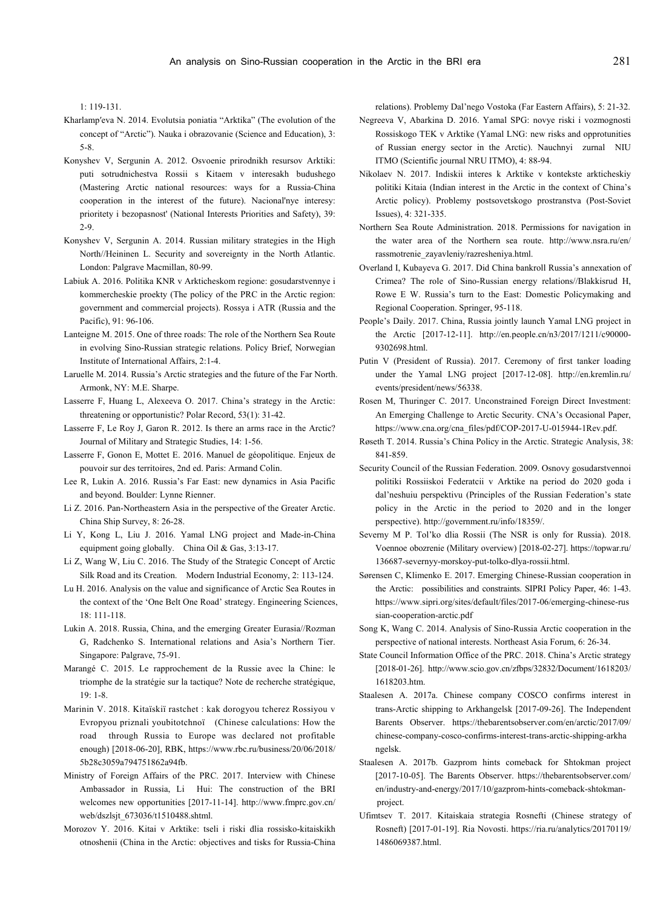1: 119-131.

- Kharlamp′eva N. 2014. Evolutsia poniatia "Arktika" (The evolution of the concept of "Arctic"). Nauka i obrazovanie (Science and Education), 3: 5-8.
- Konyshev V, Sergunin А. 2012. Osvoenie prirodnikh resursov Arktiki: puti sotrudnichestva Rossii s Kitaem v interesakh budushego (Mastering Arctic national resources: ways for a Russia-China cooperation in the interest of the future). Nacional'nye interesy: prioritety i bezopasnost' (National Interests Priorities and Safety), 39: 2-9.
- Konyshev V, Sergunin A. 2014. Russian military strategies in the High North//Heininen L. Security and sovereignty in the North Atlantic. London: Palgrave Macmillan, 80-99.
- Labiuk A. 2016. Politika KNR v Arkticheskom regione: gosudarstvennye i kommercheskie proekty (The policy of the PRC in the Arctic region: government and commercial projects). Rossya i ATR (Russia and the Pacific), 91: 96-106.
- Lanteigne M. 2015. One of three roads: The role of the Northern Sea Route in evolving Sino-Russian strategic relations. Policy Brief, Norwegian Institute of International Affairs, 2:1-4.
- Laruelle M. 2014. Russia's Arctic strategies and the future of the Far North. Armonk, NY: M.E. Sharpe.
- Lasserre F, Huang L, Alexeeva O. 2017. China's strategy in the Arctic: threatening or opportunistic? Polar Record, 53(1): 31-42.
- Lasserre F, Le Roy J, Garon R. 2012. Is there an arms race in the Arctic? Journal of Military and Strategic Studies, 14: 1-56.
- Lasserre F, Gonon E, Mottet E. 2016. Manuel de géopolitique. Enjeux de pouvoir sur des territoires, 2nd ed. Paris: Armand Colin.
- Lee R, Lukin A. 2016. Russia's Far East: new dynamics in Asia Pacific and beyond. Boulder: Lynne Rienner.
- Li Z. 2016. Pan-Northeastern Asia in the perspective of the Greater Arctic. China Ship Survey, 8: 26-28.
- Li Y, Kong L, Liu J. 2016. Yamal LNG project and Made-in-China equipment going globally. China Oil & Gas, 3:13-17.
- Li Z, Wang W, Liu C. 2016. The Study of the Strategic Concept of Arctic Silk Road and its Creation. Modern Industrial Economy, 2: 113-124.
- Lu H. 2016. Analysis on the value and significance of Arctic Sea Routes in the context of the 'One Belt One Road' strategy. Engineering Sciences, 18: 111-118.
- Lukin A. 2018. Russia, China, and the emerging Greater Eurasia//Rozman G, Radchenko S. International relations and Asia's Northern Tier. Singapore: Palgrave, 75-91.
- Marangé C. 2015. Le rapprochement de la Russie avec la Chine: le triomphe de la stratégie sur la tactique? Note de recherche stratégique, 19: 1-8.
- Marinin V. 2018. Kitaïskiï rastchet : kak dorogyou tcherez Rossiyou v Evropyou priznali youbitotchnoï (Chinese calculations: How the road through Russia to Europe was declared not profitable enough) [2018-06-20], RBK, https://www.rbc.ru/business/20/06/2018/ 5b28c3059a794751862a94fb.
- Ministry of Foreign Affairs of the PRC. 2017. Interview with Chinese Ambassador in Russia, Li Hui: The construction of the BRI welcomes new opportunities [2017-11-14]. http://www.fmprc.gov.cn/ web/dszlsjt\_673036/t1510488.shtml.
- Morozov Y. 2016. Kitai v Arktike: tseli i riski dlia rossisko-kitaiskikh otnoshenii (China in the Arctic: objectives and tisks for Russia-China

relations). Problemy Dal'nego Vostoka (Far Eastern Affairs), 5: 21-32.

- Negreeva V, Abarkina D. 2016. Yamal SPG: novye riski i vozmognosti Rossiskogo TEK v Arktike (Yamal LNG: new risks and opprotunities of Russian energy sector in the Arctic). Nauchnyi zurnal NIU ITMO (Scientific journal NRU ITMO), 4: 88-94.
- Nikolaev N. 2017. Indiskii interes k Arktike v kontekste arkticheskiy politiki Kitaia (Indian interest in the Arctic in the context of China's Arctic policy). Problemy postsovetskogo prostranstva (Post-Soviet Issues), 4: 321-335.
- Northern Sea Route Administration. 2018. Permissions for navigation in the water area of the Northern sea route. http://www.nsra.ru/en/ rassmotrenie\_zayavleniy/razresheniya.html.
- Overland I, Kubayeva G. 2017. Did China bankroll Russia's annexation of Crimea? The role of Sino-Russian energy relations//Blakkisrud H, Rowe E W. Russia's turn to the East: Domestic Policymaking and Regional Cooperation. Springer, 95-118.
- People's Daily. 2017. China, Russia jointly launch Yamal LNG project in the Arctic [2017-12-11]. http://en.people.cn/n3/2017/1211/c90000- 9302698.html.
- Putin V (President of Russia). 2017. Ceremony of first tanker loading under the Yamal LNG project [2017-12-08]. http://en.kremlin.ru/ events/president/news/56338.
- Rosen M, Thuringer C. 2017. Unconstrained Foreign Direct Investment: An Emerging Challenge to Arctic Security. CNA's Occasional Paper, https://www.cna.org/cna\_files/pdf/COP-2017-U-015944-1Rev.pdf.
- Røseth T. 2014. Russia's China Policy in the Arctic. Strategic Analysis, 38: 841-859.
- Security Council of the Russian Federation. 2009. Osnovy gosudarstvennoi politiki Rossiiskoi Federatcii v Arktike na period do 2020 goda i dal'neshuiu perspektivu (Principles of the Russian Federation's state policy in the Arctic in the period to 2020 and in the longer perspective). http://government.ru/info/18359/.
- Severny M P. Tol'ko dlia Rossii (The NSR is only for Russia). 2018. Voennoe obozrenie (Military overview) [2018-02-27]. https://topwar.ru/ 136687-severnyy-morskoy-put-tolko-dlya-rossii.html.
- Sørensen C, Klimenko E. 2017. Emerging Chinese-Russian cooperation in the Arctic: possibilities and constraints. SIPRI Policy Paper, 46: 1-43. https://www.sipri.org/sites/default/files/2017-06/emerging-chinese-rus sian-cooperation-arctic.pdf
- Song K, Wang C. 2014. Analysis of Sino-Russia Arctic cooperation in the perspective of national interests. Northeast Asia Forum, 6: 26-34.
- State Council Information Office of the PRC. 2018. China's Arctic strategy [2018-01-26]. http://www.scio.gov.cn/zfbps/32832/Document/1618203/ 1618203.htm.
- Staalesen A. 2017a. Chinese company COSCO confirms interest in trans-Arctic shipping to Arkhangelsk [2017-09-26]. The Independent Barents Observer. https://thebarentsobserver.com/en/arctic/2017/09/ chinese-company-cosco-confirms-interest-trans-arctic-shipping-arkha ngelsk.
- Staalesen A. 2017b. Gazprom hints comeback for Shtokman project [2017-10-05]. The Barents Observer. https://thebarentsobserver.com/ en/industry-and-energy/2017/10/gazprom-hints-comeback-shtokmanproject.
- Ufimtsev T. 2017. Kitaiskaia strategia Rosnefti (Chinese strategy of Rosneft) [2017-01-19]. Ria Novosti. https://ria.ru/analytics/20170119/ 1486069387.html.